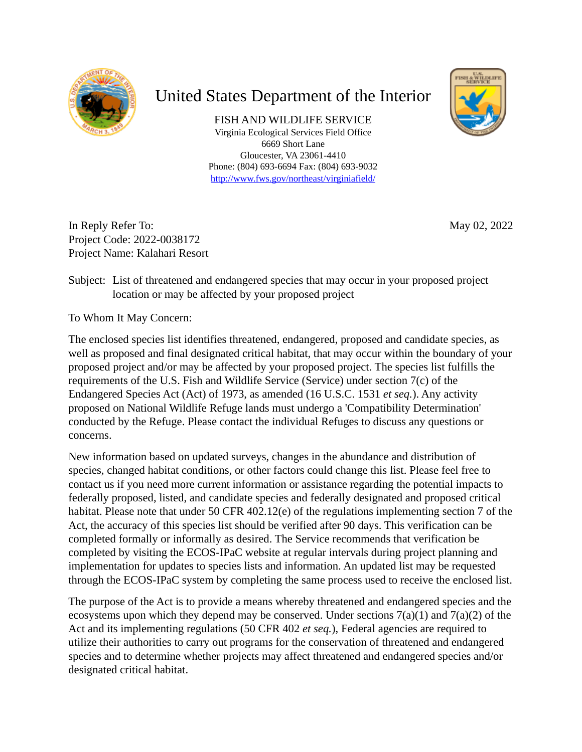

# United States Department of the Interior

FISH AND WILDLIFE SERVICE Virginia Ecological Services Field Office 6669 Short Lane Gloucester, VA 23061-4410 Phone: (804) 693-6694 Fax: (804) 693-9032 <http://www.fws.gov/northeast/virginiafield/>



May 02, 2022

In Reply Refer To: Project Code: 2022-0038172 Project Name: Kalahari Resort

Subject: List of threatened and endangered species that may occur in your proposed project location or may be affected by your proposed project

To Whom It May Concern:

The enclosed species list identifies threatened, endangered, proposed and candidate species, as well as proposed and final designated critical habitat, that may occur within the boundary of your proposed project and/or may be affected by your proposed project. The species list fulfills the requirements of the U.S. Fish and Wildlife Service (Service) under section 7(c) of the Endangered Species Act (Act) of 1973, as amended (16 U.S.C. 1531 *et seq.*). Any activity proposed on National Wildlife Refuge lands must undergo a 'Compatibility Determination' conducted by the Refuge. Please contact the individual Refuges to discuss any questions or concerns.

New information based on updated surveys, changes in the abundance and distribution of species, changed habitat conditions, or other factors could change this list. Please feel free to contact us if you need more current information or assistance regarding the potential impacts to federally proposed, listed, and candidate species and federally designated and proposed critical habitat. Please note that under 50 CFR 402.12(e) of the regulations implementing section 7 of the Act, the accuracy of this species list should be verified after 90 days. This verification can be completed formally or informally as desired. The Service recommends that verification be completed by visiting the ECOS-IPaC website at regular intervals during project planning and implementation for updates to species lists and information. An updated list may be requested through the ECOS-IPaC system by completing the same process used to receive the enclosed list.

The purpose of the Act is to provide a means whereby threatened and endangered species and the ecosystems upon which they depend may be conserved. Under sections  $7(a)(1)$  and  $7(a)(2)$  of the Act and its implementing regulations (50 CFR 402 *et seq.*), Federal agencies are required to utilize their authorities to carry out programs for the conservation of threatened and endangered species and to determine whether projects may affect threatened and endangered species and/or designated critical habitat.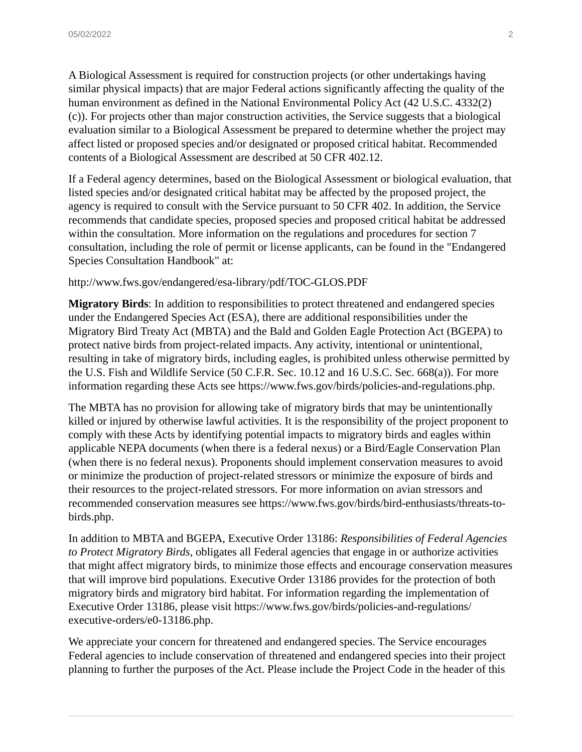A Biological Assessment is required for construction projects (or other undertakings having similar physical impacts) that are major Federal actions significantly affecting the quality of the human environment as defined in the National Environmental Policy Act (42 U.S.C. 4332(2) (c)). For projects other than major construction activities, the Service suggests that a biological evaluation similar to a Biological Assessment be prepared to determine whether the project may affect listed or proposed species and/or designated or proposed critical habitat. Recommended contents of a Biological Assessment are described at 50 CFR 402.12.

If a Federal agency determines, based on the Biological Assessment or biological evaluation, that listed species and/or designated critical habitat may be affected by the proposed project, the agency is required to consult with the Service pursuant to 50 CFR 402. In addition, the Service recommends that candidate species, proposed species and proposed critical habitat be addressed within the consultation. More information on the regulations and procedures for section 7 consultation, including the role of permit or license applicants, can be found in the "Endangered Species Consultation Handbook" at:

#### http://www.fws.gov/endangered/esa-library/pdf/TOC-GLOS.PDF

**Migratory Birds**: In addition to responsibilities to protect threatened and endangered species under the Endangered Species Act (ESA), there are additional responsibilities under the Migratory Bird Treaty Act (MBTA) and the Bald and Golden Eagle Protection Act (BGEPA) to protect native birds from project-related impacts. Any activity, intentional or unintentional, resulting in take of migratory birds, including eagles, is prohibited unless otherwise permitted by the U.S. Fish and Wildlife Service (50 C.F.R. Sec. 10.12 and 16 U.S.C. Sec. 668(a)). For more information regarding these Acts see https://www.fws.gov/birds/policies-and-regulations.php.

The MBTA has no provision for allowing take of migratory birds that may be unintentionally killed or injured by otherwise lawful activities. It is the responsibility of the project proponent to comply with these Acts by identifying potential impacts to migratory birds and eagles within applicable NEPA documents (when there is a federal nexus) or a Bird/Eagle Conservation Plan (when there is no federal nexus). Proponents should implement conservation measures to avoid or minimize the production of project-related stressors or minimize the exposure of birds and their resources to the project-related stressors. For more information on avian stressors and recommended conservation measures see https://www.fws.gov/birds/bird-enthusiasts/threats-tobirds.php.

In addition to MBTA and BGEPA, Executive Order 13186: *Responsibilities of Federal Agencies to Protect Migratory Birds*, obligates all Federal agencies that engage in or authorize activities that might affect migratory birds, to minimize those effects and encourage conservation measures that will improve bird populations. Executive Order 13186 provides for the protection of both migratory birds and migratory bird habitat. For information regarding the implementation of Executive Order 13186, please visit https://www.fws.gov/birds/policies-and-regulations/ executive-orders/e0-13186.php.

We appreciate your concern for threatened and endangered species. The Service encourages Federal agencies to include conservation of threatened and endangered species into their project planning to further the purposes of the Act. Please include the Project Code in the header of this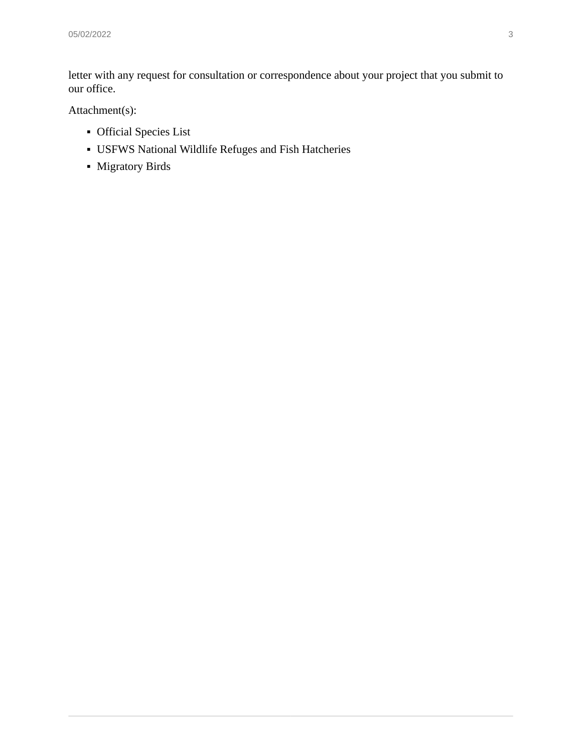letter with any request for consultation or correspondence about your project that you submit to our office.

Attachment(s):

- **•** Official Species List
- **USFWS National Wildlife Refuges and Fish Hatcheries**
- **•** Migratory Birds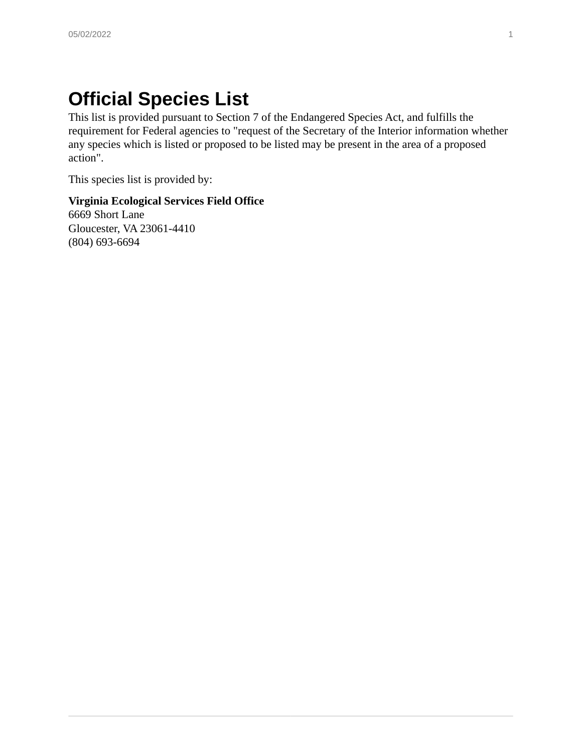# **Official Species List**

This list is provided pursuant to Section 7 of the Endangered Species Act, and fulfills the requirement for Federal agencies to "request of the Secretary of the Interior information whether any species which is listed or proposed to be listed may be present in the area of a proposed action".

This species list is provided by:

#### **Virginia Ecological Services Field Office** 6669 Short Lane Gloucester, VA 23061-4410 (804) 693-6694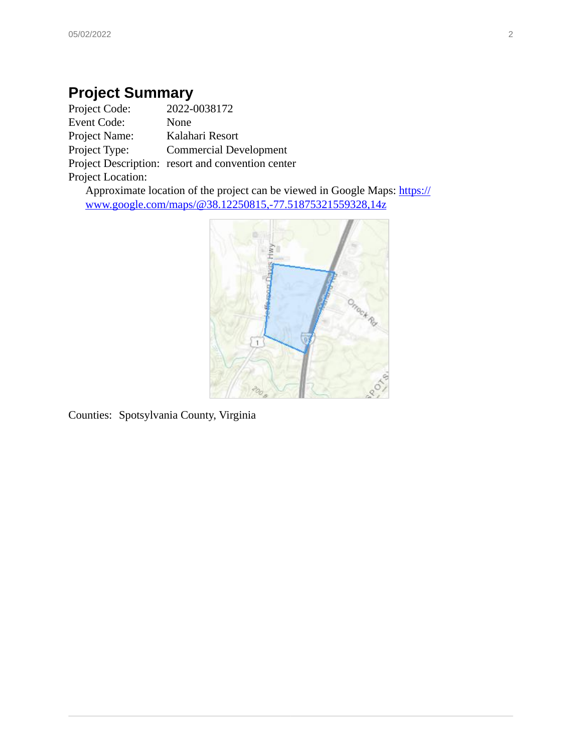# **Project Summary**<br>**Project Code:** 2022-0

Project Code: 2022-0038172 Event Code: None Project Name: Kalahari Resort Project Type: Commercial Development Project Description: resort and convention center Project Location:

Approximate location of the project can be viewed in Google Maps: [https://](https://www.google.com/maps/@38.12250815,-77.51875321559328,14z) [www.google.com/maps/@38.12250815,-77.51875321559328,14z](https://www.google.com/maps/@38.12250815,-77.51875321559328,14z)



Counties: Spotsylvania County, Virginia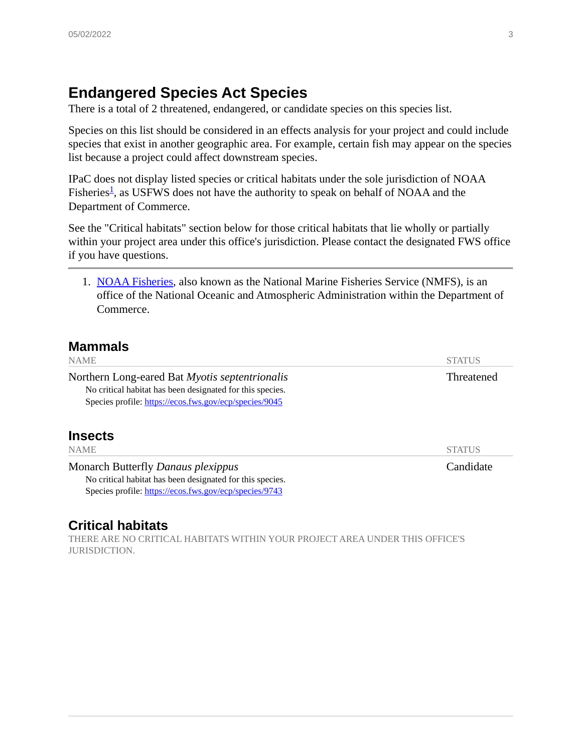### **Endangered Species Act Species**

There is a total of 2 threatened, endangered, or candidate species on this species list.

Species on this list should be considered in an effects analysis for your project and could include species that exist in another geographic area. For example, certain fish may appear on the species list because a project could affect downstream species.

IPaC does not display listed species or critical habitats under the sole jurisdiction of NOAA Fisheries<sup>[1](#page-5-0)</sup>, as USFWS does not have the authority to speak on behalf of NOAA and the Department of Commerce.

See the "Critical habitats" section below for those critical habitats that lie wholly or partially within your project area under this office's jurisdiction. Please contact the designated FWS office if you have questions.

<span id="page-5-0"></span>1. [NOAA Fisheries](https://www.fisheries.noaa.gov/), also known as the National Marine Fisheries Service (NMFS), is an office of the National Oceanic and Atmospheric Administration within the Department of Commerce.

#### **Mammals**

| <b>NAME</b>                                                                                                                                                           | <b>STATUS</b>     |
|-----------------------------------------------------------------------------------------------------------------------------------------------------------------------|-------------------|
| Northern Long-eared Bat Myotis septentrionalis<br>No critical habitat has been designated for this species.<br>Species profile: https://ecos.fws.gov/ecp/species/9045 | <b>Threatened</b> |
| <b>Insects</b><br><b>NAME</b>                                                                                                                                         | <b>STATUS</b>     |
| Monarch Butterfly Danaus plexippus<br>No critical habitat has been designated for this species.<br>Species profile: https://ecos.fws.gov/ecp/species/9743             | Candidate         |

#### **Critical habitats**

THERE ARE NO CRITICAL HABITATS WITHIN YOUR PROJECT AREA UNDER THIS OFFICE'S JURISDICTION.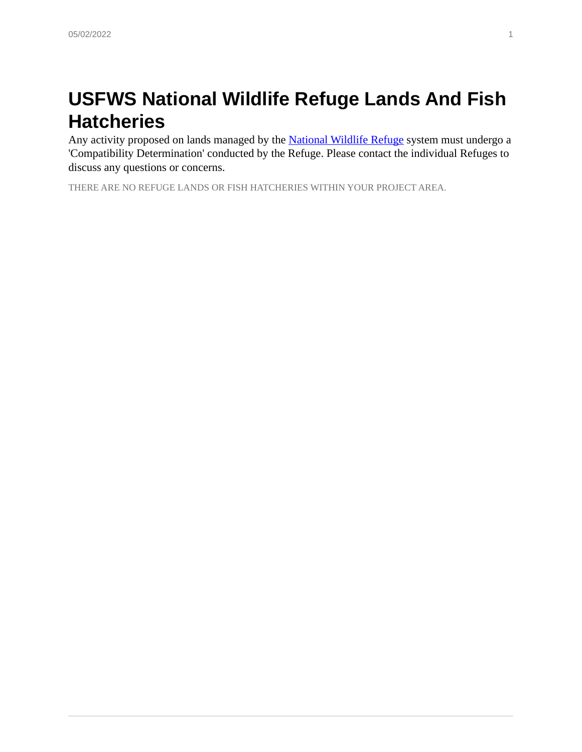# **USFWS National Wildlife Refuge Lands And Fish Hatcheries**

Any activity proposed on lands managed by the **National Wildlife Refuge** system must undergo a 'Compatibility Determination' conducted by the Refuge. Please contact the individual Refuges to discuss any questions or concerns.

THERE ARE NO REFUGE LANDS OR FISH HATCHERIES WITHIN YOUR PROJECT AREA.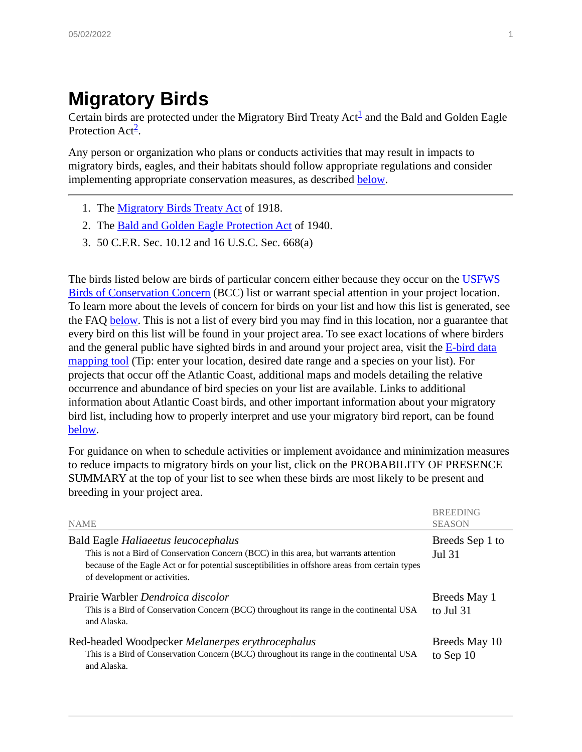# **Migratory Birds**

Certain birds are protected under the Migratory Bird Treaty  $Act^{\underline{1}}$  $Act^{\underline{1}}$  $Act^{\underline{1}}$  and the Bald and Golden Eagle Protection Act<sup>[2](#page-7-1)</sup>.

Any person or organization who plans or conducts activities that may result in impacts to migratory birds, eagles, and their habitats should follow appropriate regulations and consider implementing appropriate conservation measures, as described [below](#page-9-0).

- <span id="page-7-0"></span>1. The [Migratory Birds Treaty Act](https://www.fws.gov/birds/policies-and-regulations/laws-legislations/migratory-bird-treaty-act.php) of 1918.
- <span id="page-7-1"></span>2. The **[Bald and Golden Eagle Protection Act](https://www.fws.gov/birds/policies-and-regulations/laws-legislations/bald-and-golden-eagle-protection-act.php) of 1940.**
- 3. 50 C.F.R. Sec. 10.12 and 16 U.S.C. Sec. 668(a)

The birds listed below are birds of particular concern either because they occur on the [USFWS](https://www.fws.gov/program/migratory-birds/species) [Birds of Conservation Concern](https://www.fws.gov/program/migratory-birds/species) (BCC) list or warrant special attention in your project location. To learn more about the levels of concern for birds on your list and how this list is generated, see the FAQ [below](#page-9-0). This is not a list of every bird you may find in this location, nor a guarantee that every bird on this list will be found in your project area. To see exact locations of where birders and the general public have sighted birds in and around your project area, visit the  $E$ -bird data [mapping tool](http://ebird.org/ebird/map/) (Tip: enter your location, desired date range and a species on your list). For projects that occur off the Atlantic Coast, additional maps and models detailing the relative occurrence and abundance of bird species on your list are available. Links to additional information about Atlantic Coast birds, and other important information about your migratory bird list, including how to properly interpret and use your migratory bird report, can be found [below](#page-9-0).

For guidance on when to schedule activities or implement avoidance and minimization measures to reduce impacts to migratory birds on your list, click on the PROBABILITY OF PRESENCE SUMMARY at the top of your list to see when these birds are most likely to be present and breeding in your project area.

| <b>NAME</b>                                                                                                                                                                                                                                                      | <b>BREEDING</b><br><b>SEASON</b> |
|------------------------------------------------------------------------------------------------------------------------------------------------------------------------------------------------------------------------------------------------------------------|----------------------------------|
| Bald Eagle Haliaeetus leucocephalus<br>This is not a Bird of Conservation Concern (BCC) in this area, but warrants attention<br>because of the Eagle Act or for potential susceptibilities in offshore areas from certain types<br>of development or activities. | Breeds Sep 1 to<br>Jul 31        |
| Prairie Warbler Dendroica discolor<br>This is a Bird of Conservation Concern (BCC) throughout its range in the continental USA<br>and Alaska.                                                                                                                    | Breeds May 1<br>to Jul 31        |
| Red-headed Woodpecker Melanerpes erythrocephalus<br>This is a Bird of Conservation Concern (BCC) throughout its range in the continental USA<br>and Alaska.                                                                                                      | Breeds May 10<br>to Sep 10       |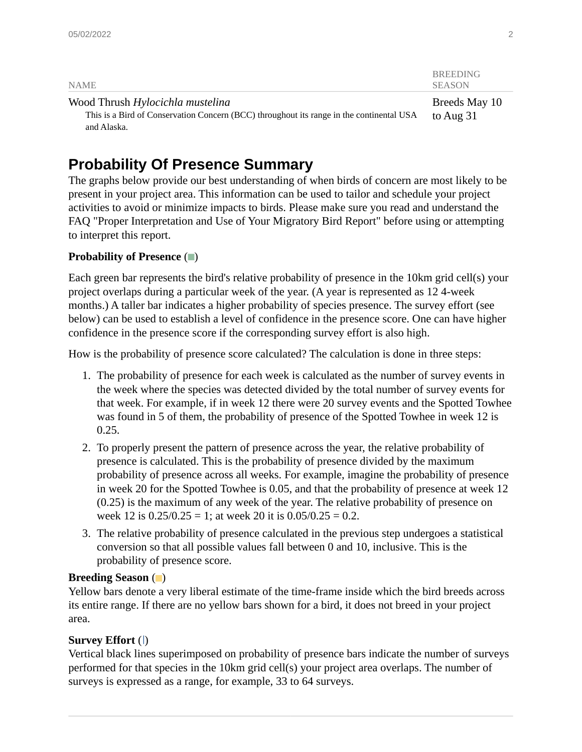| <b>NAME</b>                                                                                                                  | <b>BREEDING</b><br><b>SEASON</b> |
|------------------------------------------------------------------------------------------------------------------------------|----------------------------------|
| Wood Thrush Hylocichla mustelina<br>This is a Bird of Conservation Concern (BCC) throughout its range in the continental USA | Breeds May 10<br>to Aug 31       |
| and Alaska.                                                                                                                  |                                  |

## **Probability Of Presence Summary**

The graphs below provide our best understanding of when birds of concern are most likely to be present in your project area. This information can be used to tailor and schedule your project activities to avoid or minimize impacts to birds. Please make sure you read and understand the FAQ "Proper Interpretation and Use of Your Migratory Bird Report" before using or attempting to interpret this report.

#### **Probability of Presence** ( )

Each green bar represents the bird's relative probability of presence in the 10km grid cell(s) your project overlaps during a particular week of the year. (A year is represented as 12 4-week months.) A taller bar indicates a higher probability of species presence. The survey effort (see below) can be used to establish a level of confidence in the presence score. One can have higher confidence in the presence score if the corresponding survey effort is also high.

How is the probability of presence score calculated? The calculation is done in three steps:

- 1. The probability of presence for each week is calculated as the number of survey events in the week where the species was detected divided by the total number of survey events for that week. For example, if in week 12 there were 20 survey events and the Spotted Towhee was found in 5 of them, the probability of presence of the Spotted Towhee in week 12 is 0.25.
- 2. To properly present the pattern of presence across the year, the relative probability of presence is calculated. This is the probability of presence divided by the maximum probability of presence across all weeks. For example, imagine the probability of presence in week 20 for the Spotted Towhee is 0.05, and that the probability of presence at week 12 (0.25) is the maximum of any week of the year. The relative probability of presence on week 12 is  $0.25/0.25 = 1$ ; at week 20 it is  $0.05/0.25 = 0.2$ .
- 3. The relative probability of presence calculated in the previous step undergoes a statistical conversion so that all possible values fall between 0 and 10, inclusive. This is the probability of presence score.

#### **Breeding Season** ( )

Yellow bars denote a very liberal estimate of the time-frame inside which the bird breeds across its entire range. If there are no yellow bars shown for a bird, it does not breed in your project area.

#### **Survey Effort** (1)

Vertical black lines superimposed on probability of presence bars indicate the number of surveys performed for that species in the 10km grid cell(s) your project area overlaps. The number of surveys is expressed as a range, for example, 33 to 64 surveys.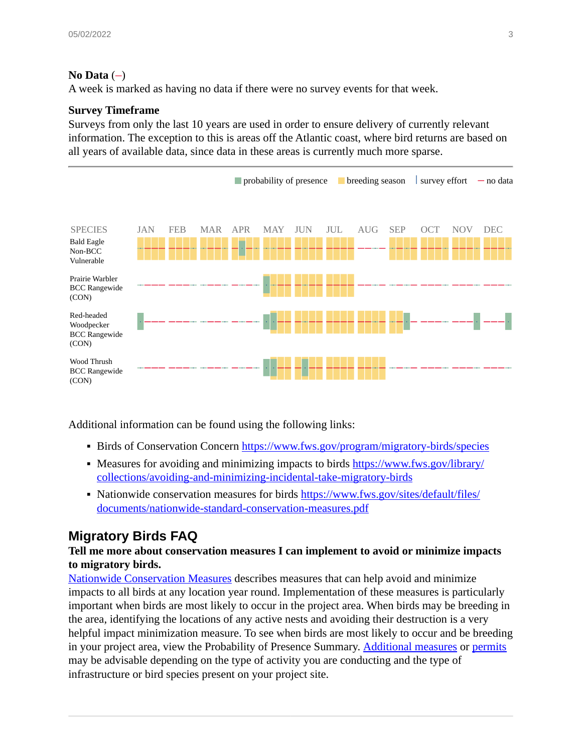#### **No Data**  $(-)$

A week is marked as having no data if there were no survey events for that week.

#### **Survey Timeframe**

Surveys from only the last 10 years are used in order to ensure delivery of currently relevant information. The exception to this is areas off the Atlantic coast, where bird returns are based on all years of available data, since data in these areas is currently much more sparse.



Additional information can be found using the following links:

- **Eirds of Conservation Concern <https://www.fws.gov/program/migratory-birds/species>**
- **Measures for avoiding and minimizing impacts to birds [https://www.fws.gov/library/](https://www.fws.gov/library/collections/avoiding-and-minimizing-incidental-take-migratory-birds)** [collections/avoiding-and-minimizing-incidental-take-migratory-birds](https://www.fws.gov/library/collections/avoiding-and-minimizing-incidental-take-migratory-birds)
- Nationwide conservation measures for birds [https://www.fws.gov/sites/default/files/](https://www.fws.gov/sites/default/files/documents/nationwide-standard-conservation-measures.pdf) [documents/nationwide-standard-conservation-measures.pdf](https://www.fws.gov/sites/default/files/documents/nationwide-standard-conservation-measures.pdf)

### <span id="page-9-0"></span>**Migratory Birds FAQ**

#### **Tell me more about conservation measures I can implement to avoid or minimize impacts to migratory birds.**

[Nationwide Conservation Measures](https://www.fws.gov/sites/default/files/documents/nationwide-standard-conservation-measures.pdf) describes measures that can help avoid and minimize impacts to all birds at any location year round. Implementation of these measures is particularly important when birds are most likely to occur in the project area. When birds may be breeding in the area, identifying the locations of any active nests and avoiding their destruction is a very helpful impact minimization measure. To see when birds are most likely to occur and be breeding in your project area, view the Probability of Presence Summary. [Additional measures](https://www.fws.gov/library/collections/avoiding-and-minimizing-incidental-take-migratory-birds) or [permits](https://www.fws.gov/birds/policies-and-regulations/permits.php) may be advisable depending on the type of activity you are conducting and the type of infrastructure or bird species present on your project site.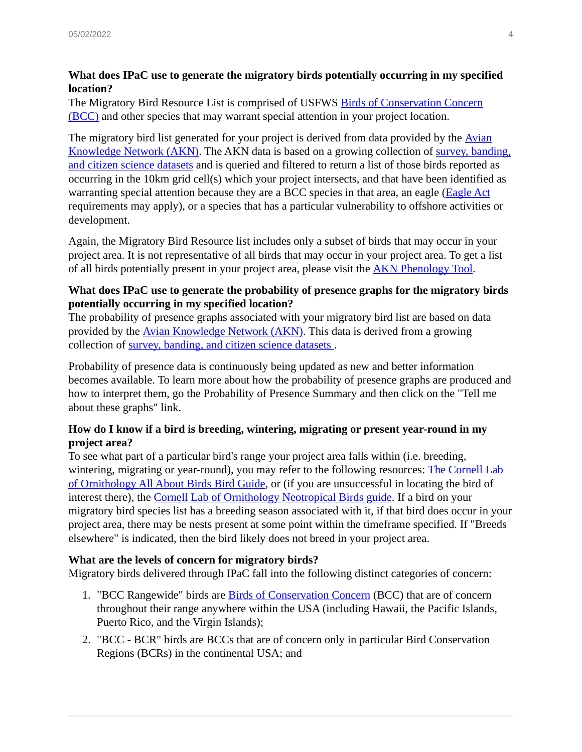#### **What does IPaC use to generate the migratory birds potentially occurring in my specified location?**

The Migratory Bird Resource List is comprised of USFWS [Birds of Conservation Concern](https://www.fws.gov/program/migratory-birds/species) [\(BCC\)](https://www.fws.gov/program/migratory-birds/species) and other species that may warrant special attention in your project location.

The migratory bird list generated for your project is derived from data provided by the [Avian](http://www.avianknowledge.net/) [Knowledge Network \(AKN\)](http://www.avianknowledge.net/). The AKN data is based on a growing collection of [survey, banding,](https://data.pointblue.org/api/v3/annual-summaries-about-data-types.html) [and citizen science datasets](https://data.pointblue.org/api/v3/annual-summaries-about-data-types.html) and is queried and filtered to return a list of those birds reported as occurring in the 10km grid cell(s) which your project intersects, and that have been identified as warranting special attention because they are a BCC species in that area, an eagle [\(Eagle Act](https://www.fws.gov/birds/management/managed-species/eagle-management.php) requirements may apply), or a species that has a particular vulnerability to offshore activities or development.

Again, the Migratory Bird Resource list includes only a subset of birds that may occur in your project area. It is not representative of all birds that may occur in your project area. To get a list of all birds potentially present in your project area, please visit the [AKN Phenology Tool](http://avianknowledge.net/index.php/phenology-tool/).

#### **What does IPaC use to generate the probability of presence graphs for the migratory birds potentially occurring in my specified location?**

The probability of presence graphs associated with your migratory bird list are based on data provided by the [Avian Knowledge Network \(AKN\).](http://www.avianknowledge.net/) This data is derived from a growing collection of [survey, banding, and citizen science datasets .](https://data.pointblue.org/api/v3/annual-summaries-about-data-types.html)

Probability of presence data is continuously being updated as new and better information becomes available. To learn more about how the probability of presence graphs are produced and how to interpret them, go the Probability of Presence Summary and then click on the "Tell me about these graphs" link.

#### **How do I know if a bird is breeding, wintering, migrating or present year-round in my project area?**

To see what part of a particular bird's range your project area falls within (i.e. breeding, wintering, migrating or year-round), you may refer to the following resources: [The Cornell Lab](https://www.allaboutbirds.org/guide/search/) [of Ornithology All About Birds Bird Guide](https://www.allaboutbirds.org/guide/search/), or (if you are unsuccessful in locating the bird of interest there), the [Cornell Lab of Ornithology Neotropical Birds guide](https://neotropical.birds.cornell.edu/Species-Account/nb/home). If a bird on your migratory bird species list has a breeding season associated with it, if that bird does occur in your project area, there may be nests present at some point within the timeframe specified. If "Breeds elsewhere" is indicated, then the bird likely does not breed in your project area.

#### **What are the levels of concern for migratory birds?**

Migratory birds delivered through IPaC fall into the following distinct categories of concern:

- 1. "BCC Rangewide" birds are **Birds of Conservation Concern** (BCC) that are of concern throughout their range anywhere within the USA (including Hawaii, the Pacific Islands, Puerto Rico, and the Virgin Islands);
- 2. "BCC BCR" birds are BCCs that are of concern only in particular Bird Conservation Regions (BCRs) in the continental USA; and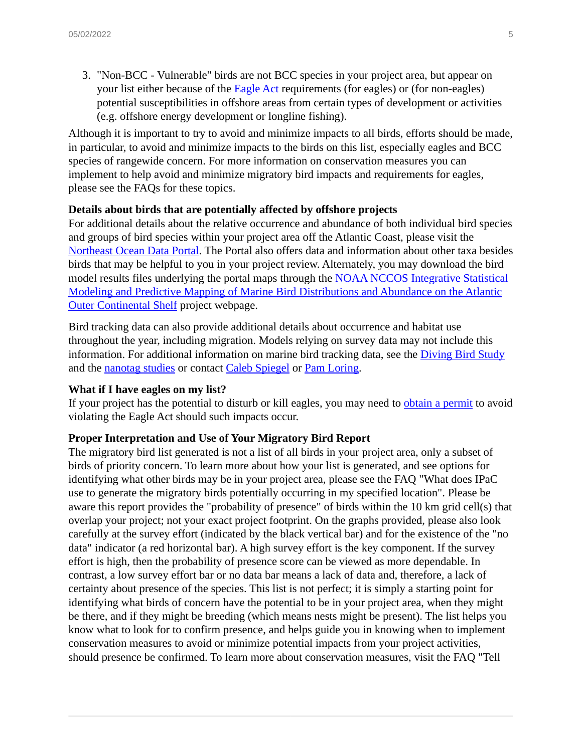3. "Non-BCC - Vulnerable" birds are not BCC species in your project area, but appear on your list either because of the **Eagle Act** requirements (for eagles) or (for non-eagles) potential susceptibilities in offshore areas from certain types of development or activities (e.g. offshore energy development or longline fishing).

Although it is important to try to avoid and minimize impacts to all birds, efforts should be made, in particular, to avoid and minimize impacts to the birds on this list, especially eagles and BCC species of rangewide concern. For more information on conservation measures you can implement to help avoid and minimize migratory bird impacts and requirements for eagles, please see the FAQs for these topics.

#### **Details about birds that are potentially affected by offshore projects**

For additional details about the relative occurrence and abundance of both individual bird species and groups of bird species within your project area off the Atlantic Coast, please visit the [Northeast Ocean Data Portal](http://www.northeastoceandata.org/data-explorer/?birds). The Portal also offers data and information about other taxa besides birds that may be helpful to you in your project review. Alternately, you may download the bird model results files underlying the portal maps through the [NOAA NCCOS Integrative Statistical](https://coastalscience.noaa.gov/project/statistical-modeling-marine-bird-distributions/) [Modeling and Predictive Mapping of Marine Bird Distributions and Abundance on the Atlantic](https://coastalscience.noaa.gov/project/statistical-modeling-marine-bird-distributions/) [Outer Continental Shelf](https://coastalscience.noaa.gov/project/statistical-modeling-marine-bird-distributions/) project webpage.

Bird tracking data can also provide additional details about occurrence and habitat use throughout the year, including migration. Models relying on survey data may not include this information. For additional information on marine bird tracking data, see the *[Diving Bird Study](http://www.boem.gov/AT-12-02/)* and the [nanotag studies](http://www.boem.gov/AT-13-01/) or contact [Caleb Spiegel](mailto:Caleb_Spiegel@fws.gov) or [Pam Loring.](mailto:Pamela_Loring@fws.gov)

#### **What if I have eagles on my list?**

If your project has the potential to disturb or kill eagles, you may need to [obtain a permit](https://fwsepermits.servicenowservices.com/fws) to avoid violating the Eagle Act should such impacts occur.

#### **Proper Interpretation and Use of Your Migratory Bird Report**

The migratory bird list generated is not a list of all birds in your project area, only a subset of birds of priority concern. To learn more about how your list is generated, and see options for identifying what other birds may be in your project area, please see the FAQ "What does IPaC use to generate the migratory birds potentially occurring in my specified location". Please be aware this report provides the "probability of presence" of birds within the 10 km grid cell(s) that overlap your project; not your exact project footprint. On the graphs provided, please also look carefully at the survey effort (indicated by the black vertical bar) and for the existence of the "no data" indicator (a red horizontal bar). A high survey effort is the key component. If the survey effort is high, then the probability of presence score can be viewed as more dependable. In contrast, a low survey effort bar or no data bar means a lack of data and, therefore, a lack of certainty about presence of the species. This list is not perfect; it is simply a starting point for identifying what birds of concern have the potential to be in your project area, when they might be there, and if they might be breeding (which means nests might be present). The list helps you know what to look for to confirm presence, and helps guide you in knowing when to implement conservation measures to avoid or minimize potential impacts from your project activities, should presence be confirmed. To learn more about conservation measures, visit the FAQ "Tell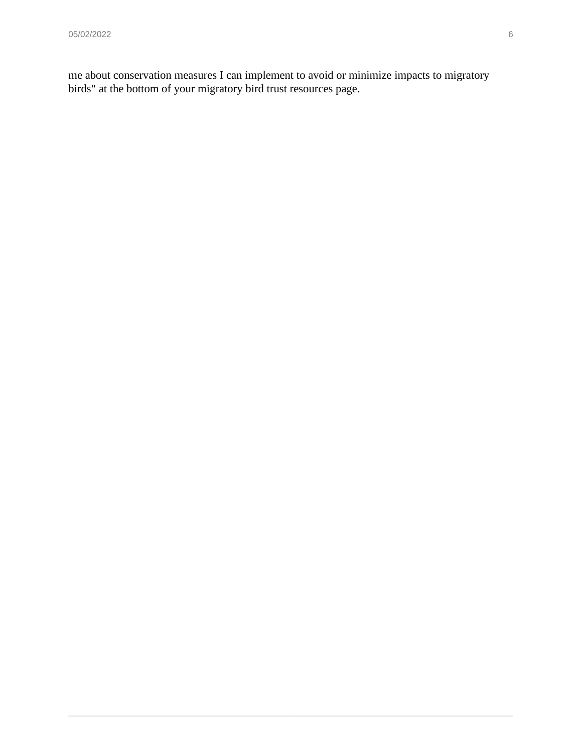me about conservation measures I can implement to avoid or minimize impacts to migratory birds" at the bottom of your migratory bird trust resources page.